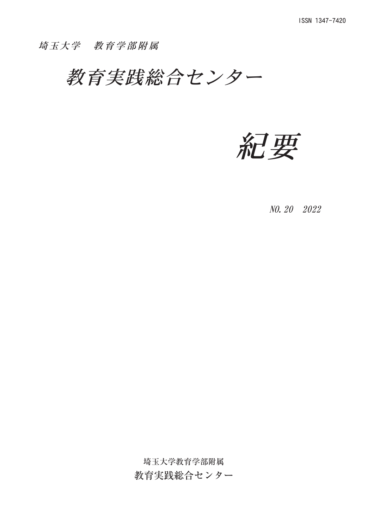## 埼玉大学 教育学部附属

教育実践総合センター

紀要

NO. 20 2022

埼玉大学教育学部附属

教育実践総合センター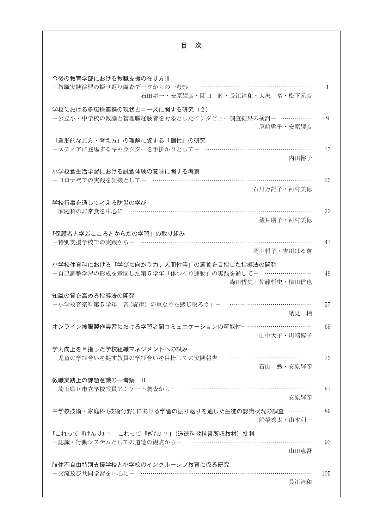| 目<br>次                                                                                 |     |  |
|----------------------------------------------------------------------------------------|-----|--|
|                                                                                        |     |  |
| 今後の教育学部における教職支援の在り方Ⅲ                                                                   |     |  |
| -教職実践演習の振り返り調査データからの一考察- …………………………<br>石田耕一・安原輝彦・関口 睦・長江清和・大沢 裕・松下元彦                   |     |  |
| 学校における多職種連携の現状とニーズに関する研究 (2)                                                           |     |  |
| ー公立小・中学校の教諭と管理職経験者を対象としたインタビュー調査結果の検討- ……………<br>尾﨑啓子・安原輝彦                              | 9   |  |
| 「造形的な見方・考え方」の理解に資する「個性」の研究                                                             |     |  |
| -メディアに登場するキャラクターを手掛かりとして- ………………………………………<br>内田裕子                                      | 17  |  |
|                                                                                        |     |  |
| 小学校食生活学習における試食体験の意味に関する考察<br>-コロナ禍での実践を契機として- ……………………………………………………………                  | 25  |  |
| 石川万記子・河村美穂                                                                             |     |  |
| 学校行事を通して考える防災の学び                                                                       |     |  |
| :家庭科の非常食を中心に ……………………………………………………………………                                                | 33  |  |
| 望月朋子・河村美穂                                                                              |     |  |
| 「保護者と学ぶこころとからだの学習」の取り組み                                                                |     |  |
| -特別支援学校での実践から- ………………………………………………………………<br>岡田将子・吉川はる奈                                  | 41  |  |
|                                                                                        |     |  |
| 小学校体育科における「学びに向かう力,人間性等」の涵養を目指した指導法の開発<br>-自己調整学習の形成を意図した第5学年「体つくり運動」の実践を通して- …………………… | 49  |  |
| 森田哲史·佐藤哲史·柳田信也                                                                         |     |  |
| 知識の質を高める指導法の開発                                                                         |     |  |
| ー小学校音楽科第5学年「音(旋律)の重なりを感じ取ろう」-                                                          | 57  |  |
| 納見 梢                                                                                   |     |  |
| オンライン被服製作実習における学習者間コミュニケーションの可能性………………………………                                           | 65  |  |
| 山中大子·川端博子                                                                              |     |  |
| 学力向上を目指した学校組織マネジメントへの試み<br>-児童の学び合いを促す教員の学び合いを目指しての実践報告- …………………………………                 | 73  |  |
| 石山 勉·安原輝彦                                                                              |     |  |
| 教職実践上の課題意識の一考察                                                                         |     |  |
| -埼玉県F市立学校教員アンケート調査から- ………………………………………………………                                            | 81  |  |
| 安原輝彦                                                                                   |     |  |
| 中学校技術・家庭科 (技術分野) における学習の振り返りを通した生徒の認識状況の調査 …………                                        | 89  |  |
| 船橋秀太・山本利一                                                                              |     |  |
| 「これって『けんり』? これって『ぎむ』?」(道徳科教科書所収教材) 批判<br>-認識・行動システムとしての道徳の観点から- ……………………………………………………   | 97  |  |
| 山田恵吾                                                                                   |     |  |
| 肢体不自由特別支援学校と小学校のインクルーシブ教育に係る研究                                                         |     |  |
| - 交流及び共同学習を中心に- ………………………………………………………………………                                            | 105 |  |
| 長江清和                                                                                   |     |  |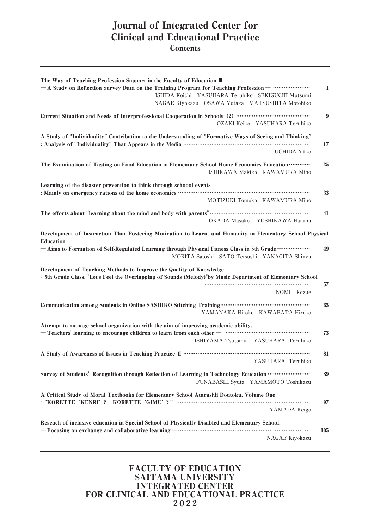## Journal of Integrated Center for Clinical and Educational Practice **Contents**

| The Way of Teaching Profession Support in the Faculty of Education III<br>- A Study on Reflection Survey Data on the Training Program for Teaching Profession - …………………<br>ISHIDA Koichi YASUHARA Teruhiko SEKIGUCHI Mutsumi<br>NAGAE Kiyokazu OSAWA Yutaka MATSUSHITA Motohiko                                                                           | 1   |
|-----------------------------------------------------------------------------------------------------------------------------------------------------------------------------------------------------------------------------------------------------------------------------------------------------------------------------------------------------------|-----|
| Current Situation and Needs of Interprofessional Cooperation in Schools (2) …………………………………………<br>OZAKI Keiko YASUHARA Teruhiko                                                                                                                                                                                                                             | 9   |
| A Study of "Individuality" Contribution to the Understanding of "Formative Ways of Seeing and Thinking"<br>UCHIDA Yûko                                                                                                                                                                                                                                    | 17  |
| The Examination of Tasting on Food Education in Elementary School Home Economics Education<br>ISHIKAWA Makiko KAWAMURA Miho                                                                                                                                                                                                                               | 25  |
| Learning of the disaster prevention to think through schoool events<br>: Mainly on emergency rations of the home economics …………………………………………………………………………<br>MOTIZUKI Tomoko KAWAMURA Miho                                                                                                                                                                  | 33  |
| OKADA Masako<br>YOSHIKAWA Haruna                                                                                                                                                                                                                                                                                                                          | 41  |
| Development of Instruction That Fostering Motivation to Learn, and Humanity in Elementary School Physical<br><b>Education</b><br>- Aims to Formation of Self-Regulated Learning through Physical Fitness Class in 5th Grade - ……………<br>MORITA Satoshi SATO Tetsushi YANAGITA Shinya                                                                       | 49  |
| Development of Teaching Methods to Improve the Quality of Knowledge<br>: 5th Grade Class, "Let's Feel the Overlapping of Sounds (Melody)"by Music Department of Elementary School<br>NOMI Kozue                                                                                                                                                           | 57  |
| Communication among Students in Online SASHIKO Stitching Training…………………………………………<br>YAMANAKA Hiroko KAWABATA Hiroko                                                                                                                                                                                                                                      | 65  |
| Attempt to manage school organization with the aim of improving academic ability.<br>- Teachers' learning to encourage children to learn from each other - manufactured contents are resourced to learn in a set of the Teachers' learning to encourage children to learn from each other - manufactured in the set<br>ISHIYAMA Tsutomu YASUHARA Teruhiko | 73  |
| YASUHARA Teruhiko                                                                                                                                                                                                                                                                                                                                         | 81  |
| Survey of Students' Recognition through Reflection of Learning in Technology Education<br>FUNABASHI Syuta YAMAMOTO Toshikazu                                                                                                                                                                                                                              | 89  |
| A Critical Study of Moral Textbooks for Elementary School Atarashii Doutoku, Volume One<br>YAMADA Keigo                                                                                                                                                                                                                                                   | 97  |
| Reseach of inclusive education in Special School of Physically Disabled and Elementary School.<br>- Focusing on exchange and collaborative learning - ……………………………………………………………………………<br>NAGAE Kiyokazu                                                                                                                                                     | 105 |

## FACULTY OF EDUCATION SAITAMA UNIVERSITY INTEGRATED CENTER FOR CLINICAL AND EDUCATIONAL PRACTICE 2022